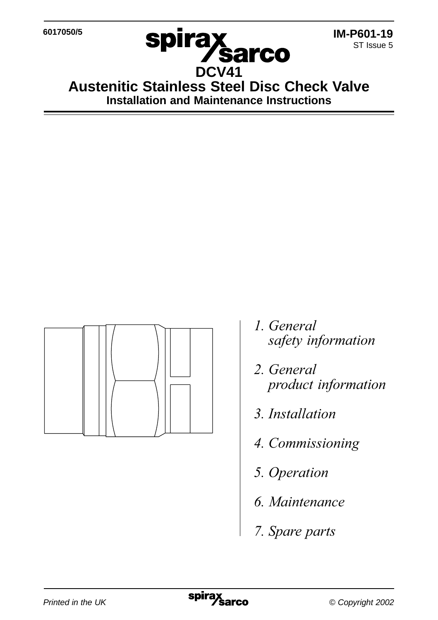**6017050/5**



**DCV41 Austenitic Stainless Steel Disc Check Valve Installation and Maintenance Instructions**

**Sarco** 

**spira** 



- 1. General safety information
- 2. General
- 3. Installation
- 4. Commissioning
- 5. Operation
- 6. Maintenance
- 7. Spare parts

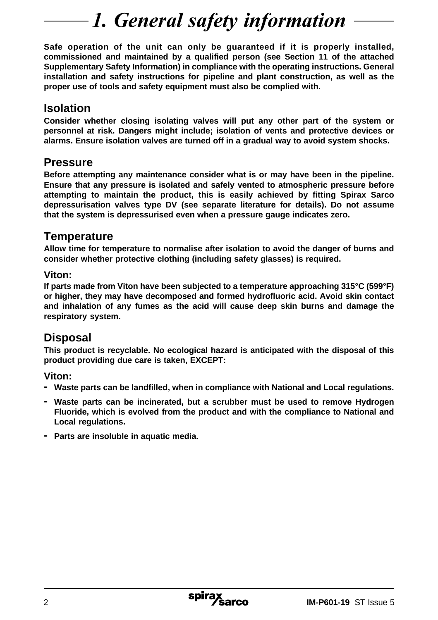# 1. General safety information

**Safe operation of the unit can only be guaranteed if it is properly installed, commissioned and maintained by a qualified person (see Section 11 of the attached Supplementary Safety Information) in compliance with the operating instructions. General installation and safety instructions for pipeline and plant construction, as well as the proper use of tools and safety equipment must also be complied with.**

### **Isolation**

**Consider whether closing isolating valves will put any other part of the system or personnel at risk. Dangers might include; isolation of vents and protective devices or alarms. Ensure isolation valves are turned off in a gradual way to avoid system shocks.**

#### **Pressure**

**Before attempting any maintenance consider what is or may have been in the pipeline. Ensure that any pressure is isolated and safely vented to atmospheric pressure before attempting to maintain the product, this is easily achieved by fitting Spirax Sarco depressurisation valves type DV (see separate literature for details). Do not assume that the system is depressurised even when a pressure gauge indicates zero.**

#### **Temperature**

**Allow time for temperature to normalise after isolation to avoid the danger of burns and consider whether protective clothing (including safety glasses) is required.**

#### **Viton:**

**If parts made from Viton have been subjected to a temperature approaching 315°C (599°F) or higher, they may have decomposed and formed hydrofluoric acid. Avoid skin contact and inhalation of any fumes as the acid will cause deep skin burns and damage the respiratory system.**

### **Disposal**

**This product is recyclable. No ecological hazard is anticipated with the disposal of this product providing due care is taken, EXCEPT:**

**Viton:**

- **- Waste parts can be landfilled, when in compliance with National and Local regulations.**
- **- Waste parts can be incinerated, but a scrubber must be used to remove Hydrogen Fluoride, which is evolved from the product and with the compliance to National and Local regulations.**
- **- Parts are insoluble in aquatic media.**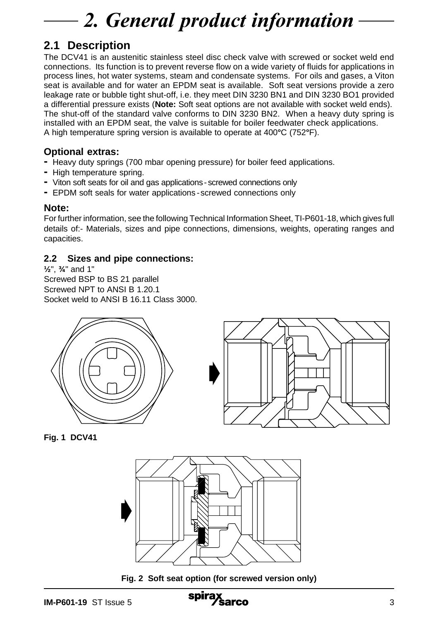# 2. General product information

## **2.1 Description**

The DCV41 is an austenitic stainless steel disc check valve with screwed or socket weld end connections. Its function is to prevent reverse flow on a wide variety of fluids for applications in process lines, hot water systems, steam and condensate systems. For oils and gases, a Viton seat is available and for water an EPDM seat is available. Soft seat versions provide a zero leakage rate or bubble tight shut-off, i.e. they meet DIN 3230 BN1 and DIN 3230 BO1 provided a differential pressure exists (**Note:** Soft seat options are not available with socket weld ends). The shut-off of the standard valve conforms to DIN 3230 BN2. When a heavy duty spring is installed with an EPDM seat, the valve is suitable for boiler feedwater check applications. A high temperature spring version is available to operate at 400**°**C (752**°**F).

#### **Optional extras:**

- **-** Heavy duty springs (700 mbar opening pressure) for boiler feed applications.
- **-** High temperature spring.
- **-** Viton soft seats for oil and gas applications screwed connections only
- **-** EPDM soft seals for water applications -screwed connections only

#### **Note:**

For further information, see the following Technical Information Sheet, TI-P601-18, which gives full details of:- Materials, sizes and pipe connections, dimensions, weights, operating ranges and capacities.

#### **2.2 Sizes and pipe connections:**

**½**", **¾**" and 1" Screwed BSP to BS 21 parallel Screwed NPT to ANSI B 1.20.1 Socket weld to ANSI B 16.11 Class 3000.





**Fig. 1 DCV41**



**Fig. 2 Soft seat option (for screwed version only)**

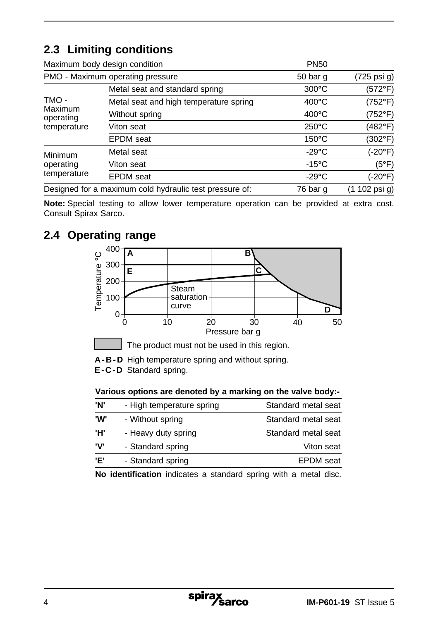## **2.3 Limiting conditions**

|                                                         | Maximum body design condition          | <b>PN50</b>     |               |
|---------------------------------------------------------|----------------------------------------|-----------------|---------------|
| PMO - Maximum operating pressure                        |                                        | 50 bar q        | (725 psi g)   |
| TMO-<br>Maximum<br>operating<br>temperature             | Metal seat and standard spring         | $300^{\circ}$ C | (572°F)       |
|                                                         | Metal seat and high temperature spring | $400^{\circ}$ C | (752°F)       |
|                                                         | Without spring                         | $400^{\circ}$ C | (752°F)       |
|                                                         | Viton seat                             | $250^{\circ}$ C | (482°F)       |
|                                                         | <b>EPDM</b> seat                       | $150^{\circ}$ C | (302°F)       |
| Minimum<br>operating<br>temperature                     | Metal seat                             | $-29^{\circ}$ C | (-20°F)       |
|                                                         | Viton seat                             | $-15^{\circ}$ C | (5°F)         |
|                                                         | <b>EPDM</b> seat                       | $-29^{\circ}$ C | (-20°F)       |
| Designed for a maximum cold hydraulic test pressure of: |                                        | 76 bar q        | (1 102 psi g) |

**Note:** Special testing to allow lower temperature operation can be provided at extra cost. Consult Spirax Sarco.

## **2.4 Operating range**



**A-B-D** High temperature spring and without spring.

**E-C-D** Standard spring.

**Various options are denoted by a marking on the valve body:-**

| Ή'  | - Heavy duty spring                                              | Standard metal seat |
|-----|------------------------------------------------------------------|---------------------|
| 'V' | - Standard spring                                                | Viton seat          |
| 'Е' | - Standard spring                                                | <b>EPDM</b> seat    |
|     | No identification indicates a standard spring with a metal disc. |                     |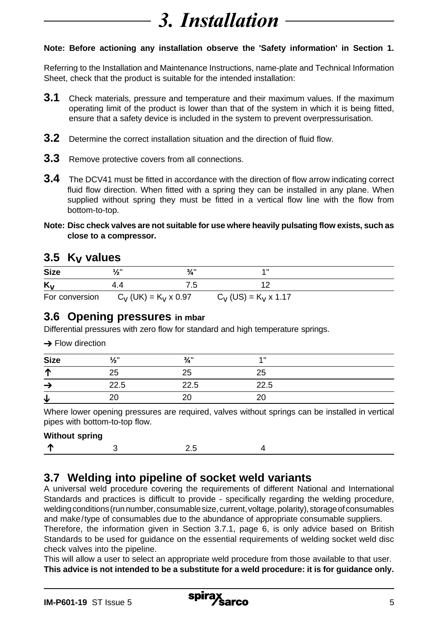# 3. Installation

#### **Note: Before actioning any installation observe the 'Safety information' in Section 1.**

Referring to the Installation and Maintenance Instructions, name-plate and Technical Information Sheet, check that the product is suitable for the intended installation:

- **3.1** Check materials, pressure and temperature and their maximum values. If the maximum operating limit of the product is lower than that of the system in which it is being fitted, ensure that a safety device is included in the system to prevent overpressurisation.
- **3.2** Determine the correct installation situation and the direction of fluid flow.
- **3.3** Remove protective covers from all connections.
- **3.4** The DCV41 must be fitted in accordance with the direction of flow arrow indicating correct fluid flow direction. When fitted with a spring they can be installed in any plane. When supplied without spring they must be fitted in a vertical flow line with the flow from bottom-to-top.
- **Note: Disc check valves are not suitable for use where heavily pulsating flow exists, such as close to a compressor.**

#### **3.5 Kv values**

| . .            |                             |                       |  |
|----------------|-----------------------------|-----------------------|--|
| <b>Size</b>    | 3/1                         | $\overline{A}$ II     |  |
| K <sub>v</sub> | ں،                          |                       |  |
| For conversion | $C_{n+1}$ (FIK) = K, y 0.97 | $=$ K. $\cdot$ Y<br>. |  |

For conversion  $C_V$  (UK) = K<sub>V</sub> x 0.97  $C_V$  (US) = K<sub>V</sub> x 1.17

### **3.6 Opening pressures in mbar**

Differential pressures with zero flow for standard and high temperature springs.

|  |  | $\rightarrow$ Flow direction |
|--|--|------------------------------|
|--|--|------------------------------|

| <b>Size</b> | 1/1  | $\frac{3}{4}$ " | $\overline{A}$ |  |
|-------------|------|-----------------|----------------|--|
| ₼           | 25   | 25              | 25             |  |
| ÷           | 22.5 | 22.5            | 22.5           |  |
| ۰J.         | ററ   | 20              | o              |  |

Where lower opening pressures are required, valves without springs can be installed in vertical pipes with bottom-to-top flow.

| <b>Without spring</b> |  |  |
|-----------------------|--|--|
|                       |  |  |

## **3.7 Welding into pipeline of socket weld variants**

A universal weld procedure covering the requirements of different National and International Standards and practices is difficult to provide - specifically regarding the welding procedure, welding conditions (run number, consumable size, current, voltage, polarity), storage of consumables and make/type of consumables due to the abundance of appropriate consumable suppliers.

Therefore, the information given in Section 3.7.1, page 6, is only advice based on British Standards to be used for guidance on the essential requirements of welding socket weld disc check valves into the pipeline.

This will allow a user to select an appropriate weld procedure from those available to that user. **This advice is not intended to be a substitute for a weld procedure: it is for guidance only.**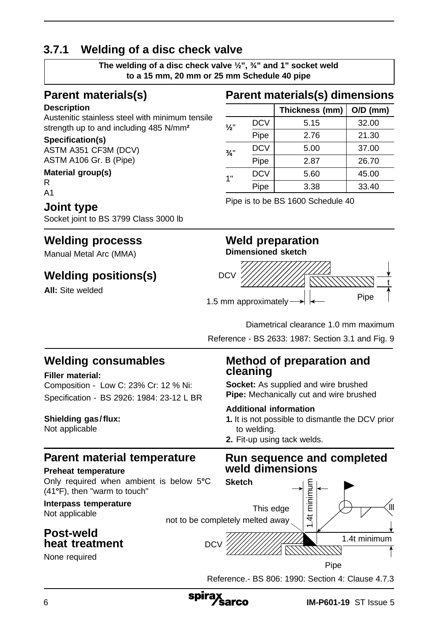## **3.7.1 Welding of a disc check valve**

**The welding of a disc check valve ½", ¾" and 1" socket weld to a 15 mm, 20 mm or 25 mm Schedule 40 pipe**

## **Parent materials(s)**

#### **Description**

Austenitic stainless steel with minimum tensile strength up to and including 485 N/mm**²**

#### **Specification(s)**

ASTM A351 CF3M (DCV) ASTM A106 Gr. B (Pipe)

#### **Material group(s)**

R A1

### **Joint type**

Socket joint to BS 3799 Class 3000 lb

## **Welding processs**

Manual Metal Arc (MMA)

## **Welding positions(s)**

**All:** Site welded

## **Parent materials(s) dimensions**

|                 |            | Thickness (mm) | $O/D$ (mm) |
|-----------------|------------|----------------|------------|
| $\frac{1}{2}$   | <b>DCV</b> | 5.15           | 32.00      |
|                 | Pipe       | 2.76           | 21.30      |
| $\frac{3}{4}$ " | <b>DCV</b> | 5.00           | 37.00      |
|                 | Pipe       | 2.87           | 26.70      |
| 1"              | <b>DCV</b> | 5.60           | 45.00      |
|                 | Pipe       | 3.38           | 33.40      |

Pipe is to be BS 1600 Schedule 40

#### **Weld preparation Dimensioned sketch**



Diametrical clearance 1.0 mm maximum

Reference - BS 2633: 1987: Section 3.1 and Fig. 9

## **Welding consumables**

#### **Filler material:**

Composition - Low C: 23% Cr: 12 % Ni: Specification - BS 2926: 1984: 23-12 L BR

#### Shielding gas/flux:

Not applicable

## **Parent material temperature**

#### **Preheat temperature**

Only required when ambient is below 5**°**C (41**°**F), then "warm to touch"

#### **Interpass temperature** Not applicable

**Post-weld**

## **heat treatment**

None required

### **Method of preparation and cleaning**

**Socket:** As supplied and wire brushed **Pipe:** Mechanically cut and wire brushed

#### **Additional information**

- **1.** It is not possible to dismantle the DCV prior to welding.
- **2.** Fit-up using tack welds.

#### **Run sequence and completed weld dimensions**



Reference.- BS 806: 1990: Section 4: Clause 4.7.3

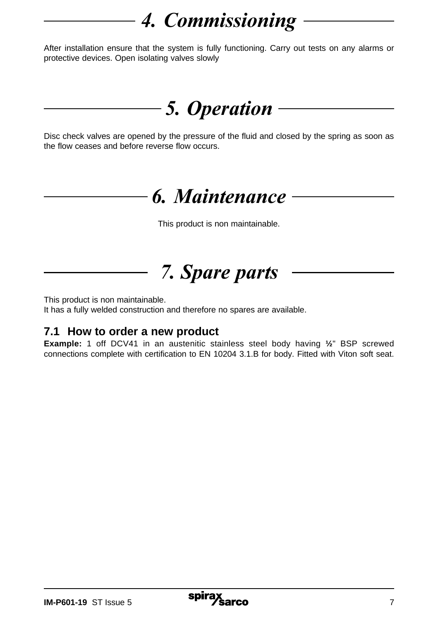# *4. Commissioning*

After installation ensure that the system is fully functioning. Carry out tests on any alarms or protective devices. Open isolating valves slowly

## 5. Operation

Disc check valves are opened by the pressure of the fluid and closed by the spring as soon as the flow ceases and before reverse flow occurs.

# 6. Maintenance

This product is non maintainable.

*-* 

This product is non maintainable.

It has a fully welded construction and therefore no spares are available.

## **7.1 How to order a new product**

**Example:** 1 off DCV41 in an austenitic stainless steel body having **½**" BSP screwed connections complete with certification to EN 10204 3.1.B for body. Fitted with Viton soft seat.